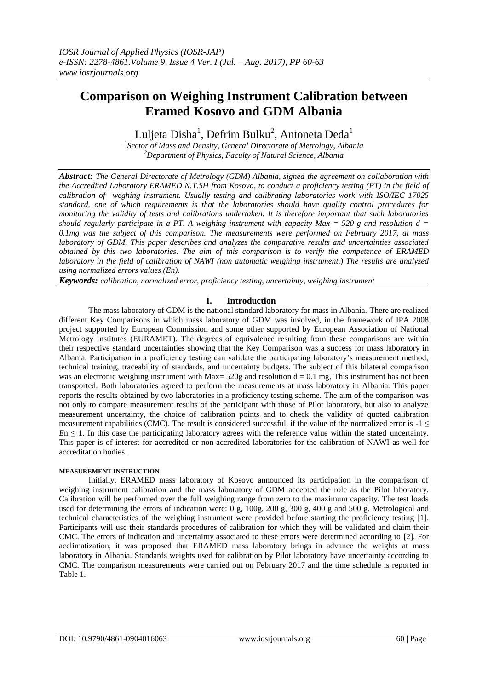# **Comparison on Weighing Instrument Calibration between Eramed Kosovo and GDM Albania**

Luljeta Disha $^{\rm l}$ , Defrim Bulku $^{\rm 2}$ , Antoneta Deda $^{\rm l}$ 

*1 Sector of Mass and Density, General Directorate of Metrology, Albania <sup>2</sup>Department of Physics, Faculty of Natural Science, Albania*

*Abstract: The General Directorate of Metrology (GDM) Albania, signed the agreement on collaboration with the Accredited Laboratory ERAMED N.T.SH from Kosovo, to conduct a proficiency testing (PT) in the field of calibration of weghing instrument. Usually testing and calibrating laboratories work with ISO/IEC 17025 standard, one of which requirements is that the laboratories should have quality control procedures for monitoring the validity of tests and calibrations undertaken. It is therefore important that such laboratories should regularly participate in a PT. A weighing instrument with capacity Max = 520 g and resolution d = 0.1mg was the subject of this comparison. The measurements were performed on February 2017, at mass laboratory of GDM. This paper describes and analyzes the comparative results and uncertainties associated obtained by this two laboratories. The aim of this comparison is to verify the competence of ERAMED laboratory in the field of calibration of NAWI (non automatic weighing instrument.) The results are analyzed using normalized errors values (En).*

*Keywords: calibration, normalized error, proficiency testing, uncertainty, weighing instrument*

# **I. Introduction**

The mass laboratory of GDM is the national standard laboratory for mass in Albania. There are realized different Key Comparisons in which mass laboratory of GDM was involved, in the framework of IPA 2008 project supported by European Commission and some other supported by European Association of National Metrology Institutes (EURAMET). The degrees of equivalence resulting from these comparisons are within their respective standard uncertainties showing that the Key Comparison was a success for mass laboratory in Albania. Participation in a proficiency testing can validate the participating laboratory's measurement method, technical training, traceability of standards, and uncertainty budgets. The subject of this bilateral comparison was an electronic weighing instrument with Max=  $520g$  and resolution d = 0.1 mg. This instrument has not been transported. Both laboratories agreed to perform the measurements at mass laboratory in Albania. This paper reports the results obtained by two laboratories in a proficiency testing scheme. The aim of the comparison was not only to compare measurement results of the participant with those of Pilot laboratory, but also to analyze measurement uncertainty, the choice of calibration points and to check the validity of quoted calibration measurement capabilities (CMC). The result is considered successful, if the value of the normalized error is  $-1 \le$  $En \leq 1$ . In this case the participating laboratory agrees with the reference value within the stated uncertainty. This paper is of interest for accredited or non-accredited laboratories for the calibration of NAWI as well for accreditation bodies.

## **MEASUREMENT INSTRUCTION**

Initially, ERAMED mass laboratory of Kosovo announced its participation in the comparison of weighing instrument calibration and the mass laboratory of GDM accepted the role as the Pilot laboratory. Calibration will be performed over the full weighing range from zero to the maximum capacity. The test loads used for determining the errors of indication were: 0 g, 100g, 200 g, 300 g, 400 g and 500 g. Metrological and technical characteristics of the weighing instrument were provided before starting the proficiency testing [1]. Participants will use their standards procedures of calibration for which they will be validated and claim their CMC. The errors of indication and uncertainty associated to these errors were determined according to [2]. For acclimatization, it was proposed that ERAMED mass laboratory brings in advance the weights at mass laboratory in Albania. Standards weights used for calibration by Pilot laboratory have uncertainty according to CMC. The comparison measurements were carried out on February 2017 and the time schedule is reported in Table 1.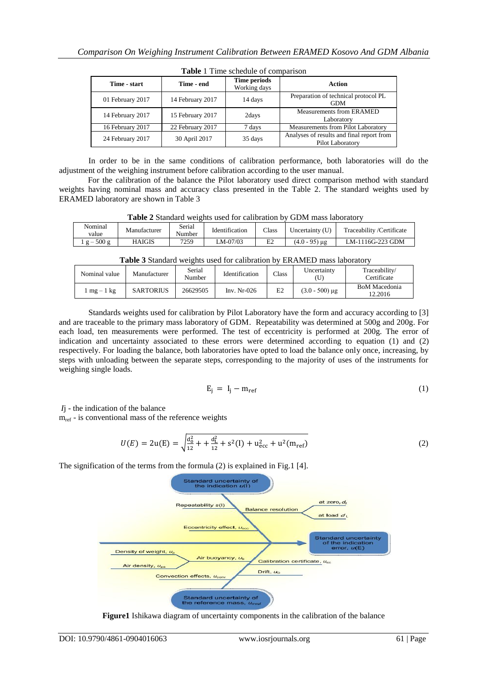| Time - start     | Time - end       | Time periods<br>Working days | Action                                                        |
|------------------|------------------|------------------------------|---------------------------------------------------------------|
| 01 February 2017 | 14 February 2017 | 14 days                      | Preparation of technical protocol PL<br><b>GDM</b>            |
| 14 February 2017 | 15 February 2017 | 2days                        | <b>Measurements from ERAMED</b><br>Laboratory                 |
| 16 February 2017 | 22 February 2017 | 7 days                       | Measurements from Pilot Laboratory                            |
| 24 February 2017 | 30 April 2017    | 35 days                      | Analyses of results and final report from<br>Pilot Laboratory |

**Table** 1 Time schedule of comparison

In order to be in the same conditions of calibration performance, both laboratories will do the adjustment of the weighing instrument before calibration according to the user manual.

For the calibration of the balance the Pilot laboratory used direct comparison method with standard weights having nominal mass and accuracy class presented in the Table 2. The standard weights used by ERAMED laboratory are shown in Table 3

**Table 2** Standard weights used for calibration by GDM mass laboratory

| Nominal<br>value   | Manufacturer | Serial<br>$\mathbf{r}$<br>Number | Identification | Class          | $Jncertainty$ (U) | Traceability/Certificate |
|--------------------|--------------|----------------------------------|----------------|----------------|-------------------|--------------------------|
| 500g<br>$\sigma =$ | HAIGIS       | 7259                             | LM-07/03       | E <sub>2</sub> | (4.0 - 95) µg     | LM-1116G-223 GDM         |

**Table 3** Standard weights used for calibration by ERAMED mass laboratory

| Nominal value | Manufacturer     | Serial<br>Number | Identification | Class | Uncertainty      | Traceability/<br>Certificate |
|---------------|------------------|------------------|----------------|-------|------------------|------------------------------|
| $mg-1$ kg     | <b>SARTORIUS</b> | 26629505         | Inv. $Nr-026$  | E2    | $(3.0 - 500)$ µg | BoM Macedonia<br>12.2016     |

Standards weights used for calibration by Pilot Laboratory have the form and accuracy according to [3] and are traceable to the primary mass laboratory of GDM. Repeatability was determined at 500g and 200g. For each load, ten measurements were performed. The test of eccentricity is performed at 200g. The error of indication and uncertainty associated to these errors were determined according to equation (1) and (2) respectively. For loading the balance, both laboratories have opted to load the balance only once, increasing, by steps with unloading between the separate steps, corresponding to the majority of uses of the instruments for weighing single loads.

$$
E_j = I_j - m_{ref} \tag{1}
$$

*I*j - the indication of the balance

 $m_{ref}$  - is conventional mass of the reference weights

$$
U(E) = 2u(E) = \sqrt{\frac{d_0^2}{12} + \frac{d_L^2}{12} + s^2(I) + u_{\text{ecc}}^2 + u^2(m_{\text{ref}})}
$$
(2)

The signification of the terms from the formula (2) is explained in Fig.1 [4].



**Figure1** Ishikawa diagram of uncertainty components in the calibration of the balance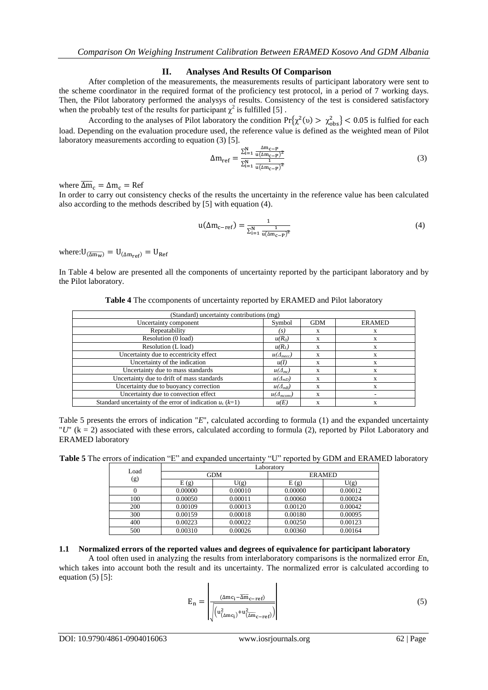# **II. Analyses And Results Of Comparison**

After completion of the measurements, the measurements results of participant laboratory were sent to the scheme coordinator in the required format of the proficiency test protocol, in a period of 7 working days. Then, the Pilot laboratory performed the analysys of results. Consistency of the test is considered satisfactory when the probably test of the results for participant  $\chi^2$  is fulfilled [5].

According to the analyses of Pilot laboratory the condition  $Pr{\chi^2(v) > \chi^2_{\text{obs}}} < 0.05$  is fulfied for each load. Depending on the evaluation procedure used, the reference value is defined as the weighted mean of Pilot laboratory measurements according to equation (3) [5].

$$
\Delta m_{ref} = \frac{\sum_{i=1}^{N} \frac{\Delta m_{c-p}}{u(\Delta m_{c-p})^2}}{\sum_{i=1}^{N} \frac{1}{u(\Delta m_{c-p})^2}}
$$
(3)

where  $\Delta m_c$ 

In order to carry out consistency checks of the results the uncertainty in the reference value has been calculated also according to the methods described by [5] with equation (4).

$$
u(\Delta m_{c-ref}) = \frac{1}{\sum_{i=1}^{N} \frac{1}{u(\Delta m_{c-p})^2}}
$$
(4)

where:  $U_{(\overline{\Delta m_w})} = U_{(\Delta m_{ref})} = U_{Ref}$ 

In Table 4 below are presented all the components of uncertainty reported by the participant laboratory and by the Pilot laboratory.

| (Standard) uncertainty contributions (mg)                   |                     |            |               |
|-------------------------------------------------------------|---------------------|------------|---------------|
| Uncertainty component                                       | Symbol              | <b>GDM</b> | <b>ERAMED</b> |
| Repeatability                                               | (s)                 | X          | X             |
| Resolution (0 load)                                         | $u(R_0)$            | X          | X             |
| Resolution (L load)                                         | $u(R_L)$            | X          | X             |
| Uncertainty due to eccentricity effect                      | $u(\Delta_{mecc})$  | X          | X             |
| Uncertainty of the indication                               | u(I)                | X          | X             |
| Uncertainty due to mass standards                           | $u(\Delta_{mc})$    | X          | X             |
| Uncertainty due to drift of mass standards                  | $u(\Delta_{mD})$    | X          | X             |
| Uncertainty due to buoyancy correction                      | $u(\Delta_{m}B)$    | X          | X             |
| Uncertainty due to convection effect                        | $u(\Delta_{mconv})$ | X          |               |
| Standard uncertainty of the error of indication $u_c$ (k=1) | u(E)                | X          | X             |

**Table 4** The ccomponents of uncertainty reported by ERAMED and Pilot laboratory

Table 5 presents the errors of indication "*E*", calculated according to formula (1) and the expanded uncertainty "*U*" (k = 2) associated with these errors, calculated according to formula (2), reported by Pilot Laboratory and ERAMED laboratory

Table 5 The errors of indication "E" and expanded uncertainty "U" reported by GDM and ERAMED laboratory

| Load | Laboratory |            |               |         |  |  |
|------|------------|------------|---------------|---------|--|--|
|      |            | <b>GDM</b> | <b>ERAMED</b> |         |  |  |
| (g)  | E(g)       | U(g)       | E(g)          | U(g)    |  |  |
|      | 0.00000    | 0.00010    | 0.00000       | 0.00012 |  |  |
| 100  | 0.00050    | 0.00011    | 0.00060       | 0.00024 |  |  |
| 200  | 0.00109    | 0.00013    | 0.00120       | 0.00042 |  |  |
| 300  | 0.00159    | 0.00018    | 0.00180       | 0.00095 |  |  |
| 400  | 0.00223    | 0.00022    | 0.00250       | 0.00123 |  |  |
| 500  | 0.00310    | 0.00026    | 0.00360       | 0.00164 |  |  |

## **1.1 Normalized errors of the reported values and degrees of equivalence for participant laboratory**

A tool often used in analyzing the results from interlaboratory comparisons is the normalized error *E*n, which takes into account both the result and its uncertainty. The normalized error is calculated according to equation  $(5)$  [5]:

$$
E_{n} = \frac{(\Delta mc_{i} - \overline{\Delta m}_{c-ref})}{\sqrt{\left(u_{(\Delta mc_{i})}^{2} + u_{(\Delta m_{c-ref})}^{2}\right)}}
$$
(5)